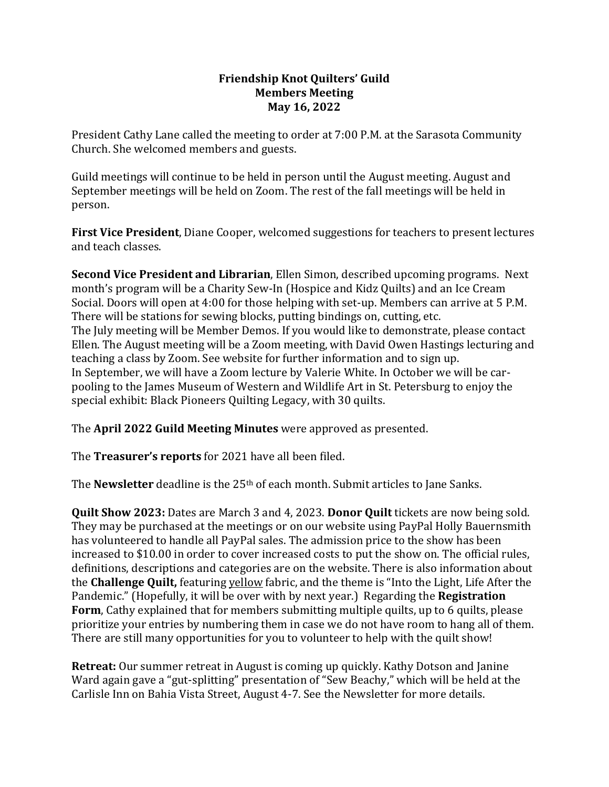## **Friendship Knot Quilters' Guild Members Meeting May 16, 2022**

President Cathy Lane called the meeting to order at 7:00 P.M. at the Sarasota Community Church. She welcomed members and guests.

Guild meetings will continue to be held in person until the August meeting. August and September meetings will be held on Zoom. The rest of the fall meetings will be held in person.

**First Vice President**, Diane Cooper, welcomed suggestions for teachers to present lectures and teach classes.

**Second Vice President and Librarian**, Ellen Simon, described upcoming programs. Next month's program will be a Charity Sew-In (Hospice and Kidz Quilts) and an Ice Cream Social. Doors will open at 4:00 for those helping with set-up. Members can arrive at 5 P.M. There will be stations for sewing blocks, putting bindings on, cutting, etc. The July meeting will be Member Demos. If you would like to demonstrate, please contact Ellen. The August meeting will be a Zoom meeting, with David Owen Hastings lecturing and teaching a class by Zoom. See website for further information and to sign up. In September, we will have a Zoom lecture by Valerie White. In October we will be carpooling to the James Museum of Western and Wildlife Art in St. Petersburg to enjoy the special exhibit: Black Pioneers Quilting Legacy, with 30 quilts.

The **April 2022 Guild Meeting Minutes** were approved as presented.

The **Treasurer's reports** for 2021 have all been filed.

The **Newsletter** deadline is the 25<sup>th</sup> of each month. Submit articles to Jane Sanks.

**Quilt Show 2023:** Dates are March 3 and 4, 2023. **Donor Quilt** tickets are now being sold. They may be purchased at the meetings or on our website using PayPal Holly Bauernsmith has volunteered to handle all PayPal sales. The admission price to the show has been increased to \$10.00 in order to cover increased costs to put the show on. The official rules, definitions, descriptions and categories are on the website. There is also information about the **Challenge Quilt,** featuring yellow fabric, and the theme is "Into the Light, Life After the Pandemic." (Hopefully, it will be over with by next year.) Regarding the **Registration Form**, Cathy explained that for members submitting multiple quilts, up to 6 quilts, please prioritize your entries by numbering them in case we do not have room to hang all of them. There are still many opportunities for you to volunteer to help with the quilt show!

**Retreat:** Our summer retreat in August is coming up quickly. Kathy Dotson and Janine Ward again gave a "gut-splitting" presentation of "Sew Beachy," which will be held at the Carlisle Inn on Bahia Vista Street, August 4-7. See the Newsletter for more details.